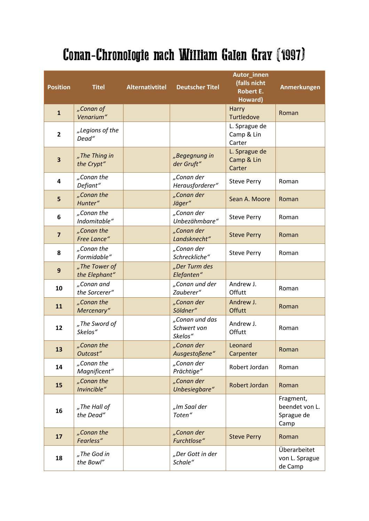## Conan-Chronologie nach William Galen Gray (1997)

| <b>Position</b> | <b>Titel</b>                   | <b>Alternativtitel</b> | <b>Deutscher Titel</b>                   | Autor_innen<br>(falls nicht<br><b>Robert E.</b><br>Howard) | <b>Anmerkungen</b>                                |
|-----------------|--------------------------------|------------------------|------------------------------------------|------------------------------------------------------------|---------------------------------------------------|
| $\mathbf{1}$    | "Conan of<br>Venarium"         |                        |                                          | Harry<br><b>Turtledove</b>                                 | Roman                                             |
| $\overline{2}$  | "Legions of the<br>Dead"       |                        |                                          | L. Sprague de<br>Camp & Lin<br>Carter                      |                                                   |
| 3               | "The Thing in<br>the Crypt"    |                        | "Begegnung in<br>der Gruft"              | L. Sprague de<br>Camp & Lin<br>Carter                      |                                                   |
| 4               | "Conan the<br>Defiant"         |                        | "Conan der<br>Herausforderer"            | <b>Steve Perry</b>                                         | Roman                                             |
| 5               | "Conan the<br>Hunter"          |                        | "Conan der<br>Jäger"                     | Sean A. Moore                                              | Roman                                             |
| 6               | "Conan the<br>Indomitable"     |                        | "Conan der<br>Unbezähmbare"              | <b>Steve Perry</b>                                         | Roman                                             |
| $\overline{7}$  | "Conan the<br>Free Lance"      |                        | "Conan der<br>Landsknecht"               | <b>Steve Perry</b>                                         | Roman                                             |
| 8               | "Conan the<br>Formidable"      |                        | "Conan der<br>Schreckliche"              | <b>Steve Perry</b>                                         | Roman                                             |
| 9               | "The Tower of<br>the Elephant" |                        | "Der Turm des<br>Elefanten"              |                                                            |                                                   |
| 10              | "Conan and<br>the Sorcerer"    |                        | "Conan und der<br>Zauberer"              | Andrew J.<br>Offutt                                        | Roman                                             |
| 11              | "Conan the<br>Mercenary"       |                        | "Conan der<br>Söldner"                   | Andrew J.<br>Offutt                                        | Roman                                             |
| 12              | "The Sword of<br>Skelos"       |                        | "Conan und das<br>Schwert von<br>Skelos" | Andrew J.<br>Offutt                                        | Roman                                             |
| 13              | "Conan the<br>Outcast"         |                        | .Conan der<br>Ausgestoßene"              | Leonard<br>Carpenter                                       | Roman                                             |
| 14              | "Conan the<br>Magnificent"     |                        | "Conan der<br>Prächtige"                 | Robert Jordan                                              | Roman                                             |
| 15              | "Conan the<br>Invincible"      |                        | "Conan der<br>Unbesiegbare"              | Robert Jordan                                              | Roman                                             |
| 16              | "The Hall of<br>the Dead"      |                        | "Im Saal der<br>Toten"                   |                                                            | Fragment,<br>beendet von L.<br>Sprague de<br>Camp |
| 17              | "Conan the<br>Fearless"        |                        | "Conan der<br>Furchtlose"                | <b>Steve Perry</b>                                         | Roman                                             |
| 18              | "The God in<br>the Bowl"       |                        | "Der Gott in der<br>Schale"              |                                                            | Überarbeitet<br>von L. Sprague<br>de Camp         |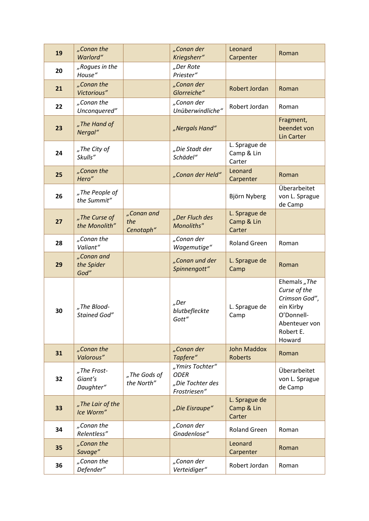| 19 | "Conan the<br>Warlord"              |                                | "Conan der<br>Kriegsherr"                                          | Leonard<br>Carpenter                  | Roman                                                                                                            |
|----|-------------------------------------|--------------------------------|--------------------------------------------------------------------|---------------------------------------|------------------------------------------------------------------------------------------------------------------|
| 20 | "Rogues in the<br>House"            |                                | "Der Rote<br>Priester"                                             |                                       |                                                                                                                  |
| 21 | "Conan the<br>Victorious"           |                                | "Conan der<br>Glorreiche"                                          | Robert Jordan                         | Roman                                                                                                            |
| 22 | "Conan the<br>Unconquered"          |                                | "Conan der<br>Unüberwindliche"                                     | Robert Jordan                         | Roman                                                                                                            |
| 23 | "The Hand of<br>Nergal"             |                                | "Nergals Hand"                                                     |                                       | Fragment,<br>beendet von<br><b>Lin Carter</b>                                                                    |
| 24 | "The City of<br>Skulls"             |                                | "Die Stadt der<br>Schädel"                                         | L. Sprague de<br>Camp & Lin<br>Carter |                                                                                                                  |
| 25 | "Conan the<br>Hero"                 |                                | "Conan der Held"                                                   | Leonard<br>Carpenter                  | Roman                                                                                                            |
| 26 | "The People of<br>the Summit"       |                                |                                                                    | Björn Nyberg                          | Überarbeitet<br>von L. Sprague<br>de Camp                                                                        |
| 27 | "The Curse of<br>the Monolith"      | "Conan and<br>the<br>Cenotaph" | "Der Fluch des<br>Monoliths"                                       | L. Sprague de<br>Camp & Lin<br>Carter |                                                                                                                  |
| 28 | "Conan the<br>Valiant"              |                                | "Conan der<br>Wagemutige"                                          | <b>Roland Green</b>                   | Roman                                                                                                            |
| 29 | "Conan and<br>the Spider<br>God"    |                                | "Conan und der<br>Spinnengott"                                     | L. Sprague de<br>Camp                 | Roman                                                                                                            |
| 30 | "The Blood-<br><b>Stained God"</b>  |                                | "Der<br>blutbefleckte<br>Gott"                                     | L. Sprague de<br>Camp                 | Ehemals "The<br>Curse of the<br>Crimson God",<br>ein Kirby<br>O'Donnell-<br>Abenteuer von<br>Robert E.<br>Howard |
| 31 | "Conan the<br>Valorous"             |                                | "Conan der<br>Tapfere"                                             | <b>John Maddox</b><br><b>Roberts</b>  | Roman                                                                                                            |
| 32 | "The Frost-<br>Giant's<br>Daughter" | "The Gods of<br>the North"     | "Ymirs Tochter"<br><b>ODER</b><br>"Die Tochter des<br>Frostriesen" |                                       | Überarbeitet<br>von L. Sprague<br>de Camp                                                                        |
| 33 | "The Lair of the<br>Ice Worm"       |                                | "Die Eisraupe"                                                     | L. Sprague de<br>Camp & Lin<br>Carter |                                                                                                                  |
| 34 | "Conan the<br>Relentless"           |                                | "Conan der<br>Gnadenlose"                                          | <b>Roland Green</b>                   | Roman                                                                                                            |
| 35 | "Conan the<br>Savage"               |                                |                                                                    | Leonard<br>Carpenter                  | Roman                                                                                                            |
| 36 | "Conan the<br>Defender"             |                                | "Conan der<br>Verteidiger"                                         | Robert Jordan                         | Roman                                                                                                            |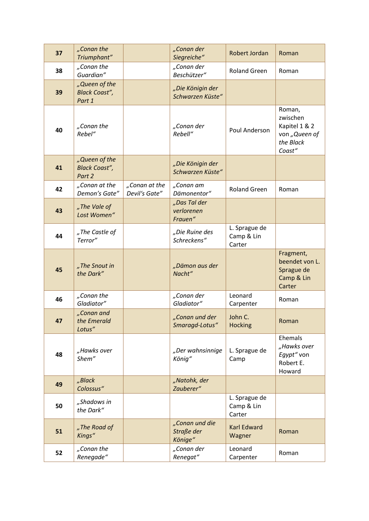| 37 | "Conan the<br>Triumphant"                       |                                | "Conan der<br>Siegreiche"               | Robert Jordan                         | Roman                                                                       |
|----|-------------------------------------------------|--------------------------------|-----------------------------------------|---------------------------------------|-----------------------------------------------------------------------------|
| 38 | "Conan the<br>Guardian"                         |                                | "Conan der<br>Beschützer"               | <b>Roland Green</b>                   | Roman                                                                       |
| 39 | "Queen of the<br><b>Black Coast",</b><br>Part 1 |                                | "Die Königin der<br>Schwarzen Küste"    |                                       |                                                                             |
| 40 | "Conan the<br>Rebel"                            |                                | "Conan der<br>Rebell"                   | Poul Anderson                         | Roman,<br>zwischen<br>Kapitel 1 & 2<br>von "Queen of<br>the Black<br>Coast" |
| 41 | "Queen of the<br><b>Black Coast",</b><br>Part 2 |                                | "Die Königin der<br>Schwarzen Küste"    |                                       |                                                                             |
| 42 | "Conan at the<br>Demon's Gate"                  | "Conan at the<br>Devil's Gate" | "Conan am<br>Dämonentor"                | <b>Roland Green</b>                   | Roman                                                                       |
| 43 | "The Vale of<br>Lost Women"                     |                                | "Das Tal der<br>verlorenen<br>Frauen"   |                                       |                                                                             |
| 44 | "The Castle of<br>Terror"                       |                                | "Die Ruine des<br>Schreckens"           | L. Sprague de<br>Camp & Lin<br>Carter |                                                                             |
| 45 | "The Snout in<br>the Dark"                      |                                | "Dämon aus der<br>Nacht"                |                                       | Fragment,<br>beendet von L.<br>Sprague de<br>Camp & Lin<br>Carter           |
| 46 | "Conan the<br>Gladiator"                        |                                | "Conan der<br>Gladiator"                | Leonard<br>Carpenter                  | Roman                                                                       |
| 47 | "Conan and<br>the Emerald<br>Lotus"             |                                | "Conan und der<br>Smaragd-Lotus"        | John C.<br><b>Hocking</b>             | Roman                                                                       |
| 48 | "Hawks over<br>Shem"                            |                                | "Der wahnsinnige<br>König"              | L. Sprague de<br>Camp                 | Ehemals<br>"Hawks over<br>Egypt" von<br>Robert E.<br>Howard                 |
| 49 | "Black<br>Colossus"                             |                                | "Natohk, der<br>Zauberer"               |                                       |                                                                             |
| 50 | "Shadows in<br>the Dark"                        |                                |                                         | L. Sprague de<br>Camp & Lin<br>Carter |                                                                             |
| 51 | "The Road of<br>Kings"                          |                                | "Conan und die<br>Straße der<br>Könige" | <b>Karl Edward</b><br>Wagner          | Roman                                                                       |
| 52 | "Conan the<br>Renegade"                         |                                | "Conan der<br>Renegat"                  | Leonard<br>Carpenter                  | Roman                                                                       |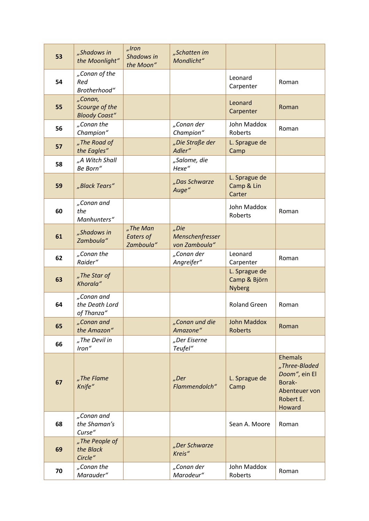| 53 | "Shadows in<br>the Moonlight"                     | $n$ Iron<br>Shadows in<br>the Moon"       | "Schatten im<br>Mondlicht"               |                                                |                                                                                                    |
|----|---------------------------------------------------|-------------------------------------------|------------------------------------------|------------------------------------------------|----------------------------------------------------------------------------------------------------|
| 54 | "Conan of the<br>Red<br>Brotherhood"              |                                           |                                          | Leonard<br>Carpenter                           | Roman                                                                                              |
| 55 | "Conan,<br>Scourge of the<br><b>Bloody Coast"</b> |                                           |                                          | Leonard<br>Carpenter                           | Roman                                                                                              |
| 56 | "Conan the<br>Champion"                           |                                           | "Conan der<br>Champion"                  | John Maddox<br>Roberts                         | Roman                                                                                              |
| 57 | "The Road of<br>the Eagles"                       |                                           | "Die Straße der<br>Adler"                | L. Sprague de<br>Camp                          |                                                                                                    |
| 58 | "A Witch Shall<br>Be Born"                        |                                           | "Salome, die<br>Hexe"                    |                                                |                                                                                                    |
| 59 | "Black Tears"                                     |                                           | "Das Schwarze<br>Auge"                   | L. Sprague de<br>Camp & Lin<br>Carter          |                                                                                                    |
| 60 | "Conan and<br>the<br>Manhunters"                  |                                           |                                          | John Maddox<br>Roberts                         | Roman                                                                                              |
| 61 | "Shadows in<br>Zamboula"                          | "The Man<br><b>Eaters of</b><br>Zamboula" | "Die<br>Menschenfresser<br>von Zamboula" |                                                |                                                                                                    |
| 62 | "Conan the<br>Raider"                             |                                           | "Conan der<br>Angreifer"                 | Leonard<br>Carpenter                           | Roman                                                                                              |
| 63 | "The Star of<br>Khorala"                          |                                           |                                          | L. Sprague de<br>Camp & Björn<br><b>Nyberg</b> |                                                                                                    |
| 64 | "Conan and<br>the Death Lord<br>of Thanza"        |                                           |                                          | <b>Roland Green</b>                            | Roman                                                                                              |
| 65 | "Conan and<br>the Amazon"                         |                                           | "Conan und die<br>Amazone"               | <b>John Maddox</b><br><b>Roberts</b>           | Roman                                                                                              |
| 66 | "The Devil in<br>Iron"                            |                                           | "Der Eiserne<br>Teufel"                  |                                                |                                                                                                    |
| 67 | "The Flame<br>Knife"                              |                                           | "Der<br>Flammendolch"                    | L. Sprague de<br>Camp                          | <b>Ehemals</b><br>"Three-Bladed<br>Doom", ein El<br>Borak-<br>Abenteuer von<br>Robert E.<br>Howard |
| 68 | "Conan and<br>the Shaman's<br>Curse"              |                                           |                                          | Sean A. Moore                                  | Roman                                                                                              |
| 69 | "The People of<br>the Black<br>Circle"            |                                           | "Der Schwarze<br>Kreis"                  |                                                |                                                                                                    |
| 70 | "Conan the<br>Marauder"                           |                                           | "Conan der<br>Marodeur"                  | John Maddox<br>Roberts                         | Roman                                                                                              |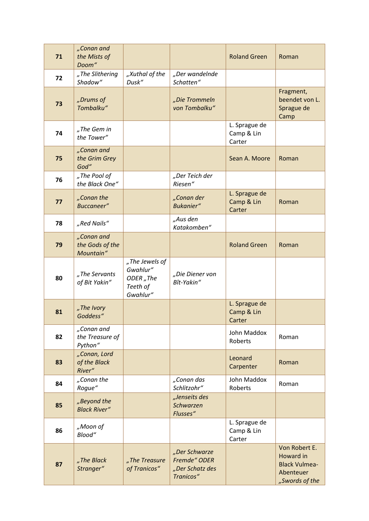| 71 | "Conan and<br>the Mists of<br>Doom"        |                                                                             |                                                               | <b>Roland Green</b>                   | Roman                                                                             |
|----|--------------------------------------------|-----------------------------------------------------------------------------|---------------------------------------------------------------|---------------------------------------|-----------------------------------------------------------------------------------|
| 72 | "The Slithering<br>Shadow"                 | "Xuthal of the<br>Dusk"                                                     | "Der wandelnde<br>Schatten"                                   |                                       |                                                                                   |
| 73 | "Drums of<br>Tombalku"                     |                                                                             | "Die Trommeln<br>von Tombalku"                                |                                       | Fragment,<br>beendet von L.<br>Sprague de<br>Camp                                 |
| 74 | "The Gem in<br>the Tower"                  |                                                                             |                                                               | L. Sprague de<br>Camp & Lin<br>Carter |                                                                                   |
| 75 | "Conan and<br>the Grim Grey<br>God"        |                                                                             |                                                               | Sean A. Moore                         | Roman                                                                             |
| 76 | "The Pool of<br>the Black One"             |                                                                             | "Der Teich der<br>Riesen"                                     |                                       |                                                                                   |
| 77 | "Conan the<br>Buccaneer"                   |                                                                             | "Conan der<br>Bukanier"                                       | L. Sprague de<br>Camp & Lin<br>Carter | Roman                                                                             |
| 78 | "Red Nails"                                |                                                                             | "Aus den<br>Katakomben"                                       |                                       |                                                                                   |
| 79 | "Conan and<br>the Gods of the<br>Mountain" |                                                                             |                                                               | <b>Roland Green</b>                   | Roman                                                                             |
| 80 | "The Servants<br>of Bit Yakin"             | "The Jewels of<br>Gwahlur"<br>ODER <sub>"</sub> The<br>Teeth of<br>Gwahlur" | "Die Diener von<br>Bît-Yakin"                                 |                                       |                                                                                   |
| 81 | "The Ivory<br>Goddess"                     |                                                                             |                                                               | L. Sprague de<br>Camp & Lin<br>Carter |                                                                                   |
| 82 | "Conan and<br>the Treasure of<br>Python"   |                                                                             |                                                               | John Maddox<br>Roberts                | Roman                                                                             |
| 83 | "Conan, Lord<br>of the Black<br>River"     |                                                                             |                                                               | Leonard<br>Carpenter                  | Roman                                                                             |
| 84 | "Conan the<br>Rogue"                       |                                                                             | "Conan das<br>Schlitzohr"                                     | John Maddox<br>Roberts                | Roman                                                                             |
| 85 | "Beyond the<br><b>Black River"</b>         |                                                                             | "Jenseits des<br>Schwarzen<br>Flusses"                        |                                       |                                                                                   |
| 86 | "Moon of<br>Blood"                         |                                                                             |                                                               | L. Sprague de<br>Camp & Lin<br>Carter |                                                                                   |
| 87 | "The Black<br>Stranger"                    | "The Treasure<br>of Tranicos"                                               | "Der Schwarze<br>Fremde" ODER<br>"Der Schatz des<br>Tranicos" |                                       | Von Robert E.<br>Howard in<br><b>Black Vulmea-</b><br>Abenteuer<br>"Swords of the |